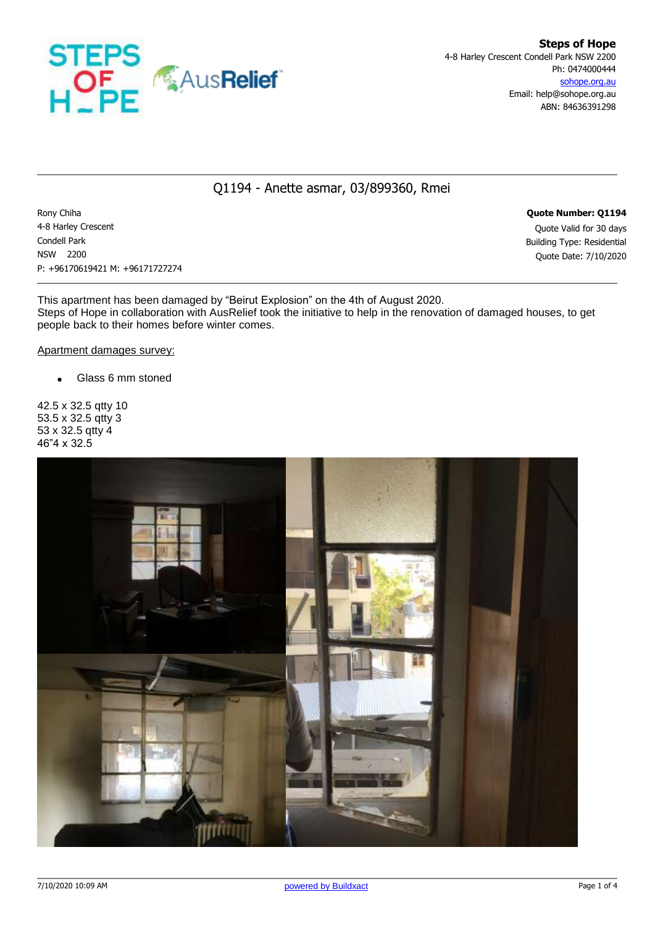

## Q1194 - Anette asmar, 03/899360, Rmei

Rony Chiha **Quote Number: Q1194** 4-8 Harley Crescent Quote Valid for 30 days Condell Park Building Type: Residential NSW 2200 Quote Date: 7/10/2020 P: +96170619421 M: +96171727274

This apartment has been damaged by "Beirut Explosion" on the 4th of August 2020. Steps of Hope in collaboration with AusRelief took the initiative to help in the renovation of damaged houses, to get people back to their homes before winter comes.

Apartment damages survey:

• Glass 6 mm stoned

42.5 x 32.5 qtty 10 53.5 x 32.5 qtty 3 53 x 32.5 qtty 4 46"4 x 32.5

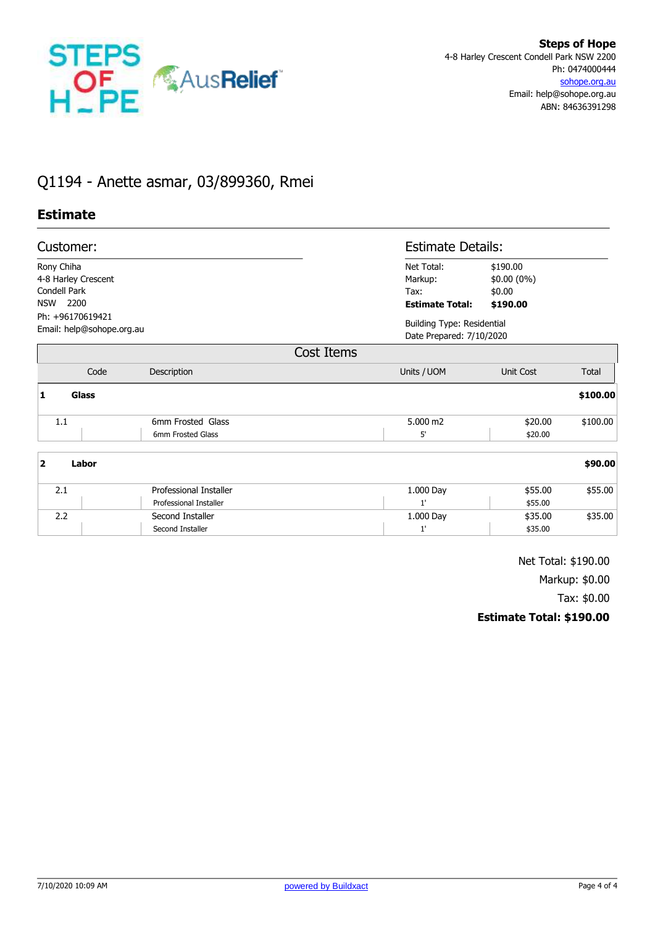

## Q1194 - Anette asmar, 03/899360, Rmei

## **Estimate**

|                          | Customer:                                     |                                                  |                                                         | <b>Estimate Details:</b>                                      |          |  |
|--------------------------|-----------------------------------------------|--------------------------------------------------|---------------------------------------------------------|---------------------------------------------------------------|----------|--|
| Rony Chiha<br><b>NSW</b> | 4-8 Harley Crescent<br>Condell Park<br>2200   |                                                  | Net Total:<br>Markup:<br>Tax:<br><b>Estimate Total:</b> | \$190.00<br>\$0.00 (0%)<br>\$0.00<br>\$190.00                 |          |  |
|                          | Ph: +96170619421<br>Email: help@sohope.org.au |                                                  |                                                         | <b>Building Type: Residential</b><br>Date Prepared: 7/10/2020 |          |  |
|                          |                                               |                                                  | Cost Items                                              |                                                               |          |  |
|                          | Code                                          | Description                                      | Units / UOM                                             | Unit Cost                                                     | Total    |  |
| 1                        | <b>Glass</b>                                  |                                                  |                                                         |                                                               | \$100.00 |  |
| 1.1                      |                                               | 6mm Frosted Glass<br>6mm Frosted Glass           | 5.000 m2<br>5'                                          | \$20.00<br>\$20.00                                            | \$100.00 |  |
| $\overline{2}$           | Labor                                         |                                                  |                                                         |                                                               | \$90.00  |  |
| 2.1                      |                                               | Professional Installer<br>Professional Installer | 1.000 Day<br>1'                                         | \$55.00<br>\$55.00                                            | \$55.00  |  |
|                          | 2.2                                           | Second Installer<br>Second Installer             | 1.000 Day<br>1'                                         | \$35.00<br>\$35.00                                            | \$35.00  |  |

Net Total: \$190.00

Markup: \$0.00

Tax: \$0.00

**Estimate Total: \$190.00**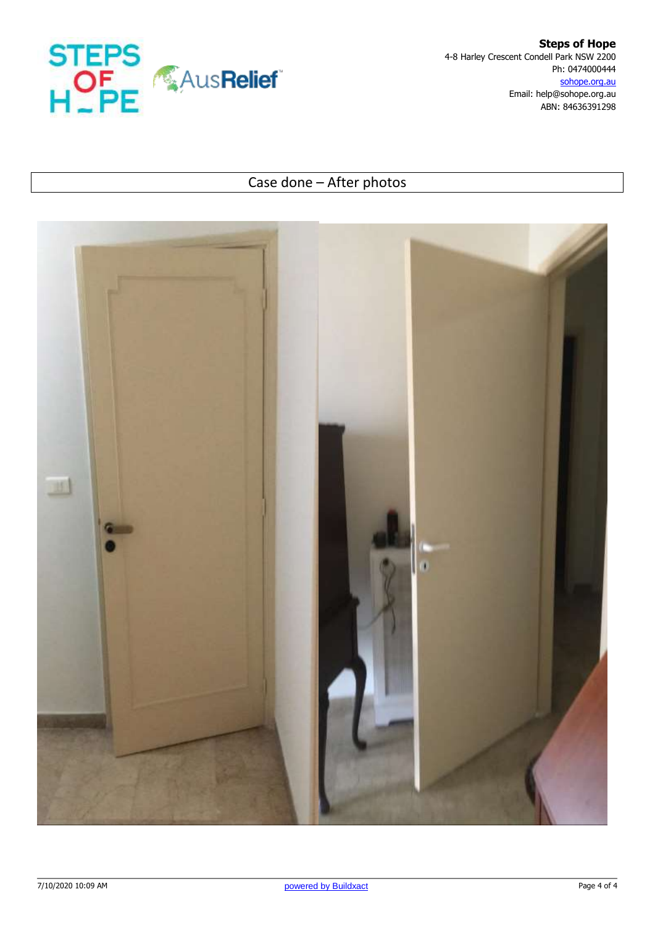

**Steps of Hope** 4-8 Harley Crescent Condell Park NSW 2200 Ph: 0474000444 sohope.org.au Email: help@sohope.org.au ABN: 84636391298

## Case done – After photos